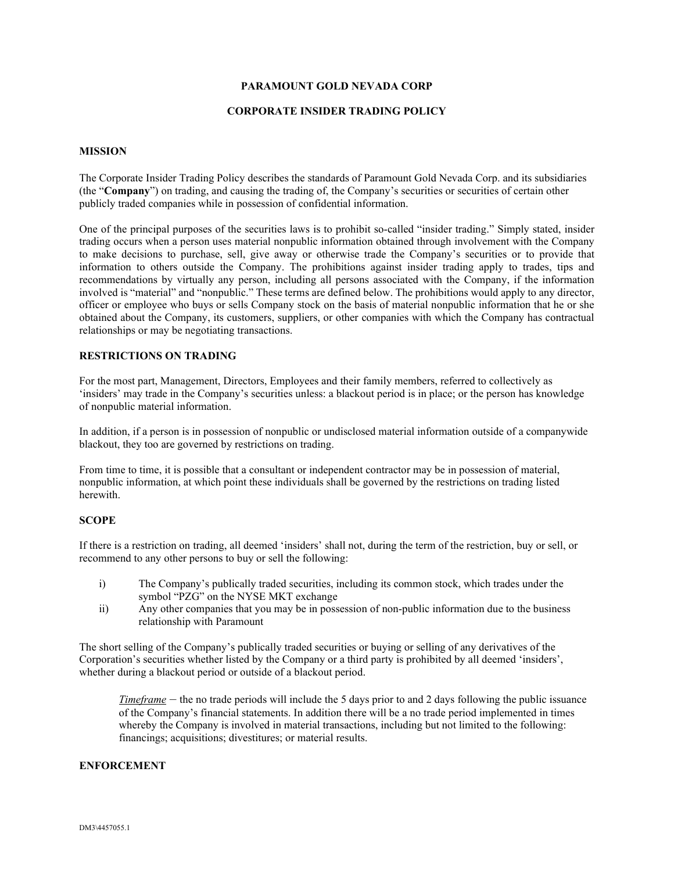### **PARAMOUNT GOLD NEVADA CORP**

#### **CORPORATE INSIDER TRADING POLICY**

#### **MISSION**

The Corporate Insider Trading Policy describes the standards of Paramount Gold Nevada Corp. and its subsidiaries (the "**Company**") on trading, and causing the trading of, the Company's securities or securities of certain other publicly traded companies while in possession of confidential information.

One of the principal purposes of the securities laws is to prohibit so-called "insider trading." Simply stated, insider trading occurs when a person uses material nonpublic information obtained through involvement with the Company to make decisions to purchase, sell, give away or otherwise trade the Company's securities or to provide that information to others outside the Company. The prohibitions against insider trading apply to trades, tips and recommendations by virtually any person, including all persons associated with the Company, if the information involved is "material" and "nonpublic." These terms are defined below. The prohibitions would apply to any director, officer or employee who buys or sells Company stock on the basis of material nonpublic information that he or she obtained about the Company, its customers, suppliers, or other companies with which the Company has contractual relationships or may be negotiating transactions.

#### **RESTRICTIONS ON TRADING**

For the most part, Management, Directors, Employees and their family members, referred to collectively as 'insiders' may trade in the Company's securities unless: a blackout period is in place; or the person has knowledge of nonpublic material information.

In addition, if a person is in possession of nonpublic or undisclosed material information outside of a companywide blackout, they too are governed by restrictions on trading.

From time to time, it is possible that a consultant or independent contractor may be in possession of material, nonpublic information, at which point these individuals shall be governed by the restrictions on trading listed herewith.

#### **SCOPE**

If there is a restriction on trading, all deemed 'insiders' shall not, during the term of the restriction, buy or sell, or recommend to any other persons to buy or sell the following:

- i) The Company's publically traded securities, including its common stock, which trades under the symbol "PZG" on the NYSE MKT exchange
- ii) Any other companies that you may be in possession of non-public information due to the business relationship with Paramount

The short selling of the Company's publically traded securities or buying or selling of any derivatives of the Corporation's securities whether listed by the Company or a third party is prohibited by all deemed 'insiders', whether during a blackout period or outside of a blackout period.

*Timeframe* – the no trade periods will include the 5 days prior to and 2 days following the public issuance of the Company's financial statements. In addition there will be a no trade period implemented in times whereby the Company is involved in material transactions, including but not limited to the following: financings; acquisitions; divestitures; or material results.

#### **ENFORCEMENT**